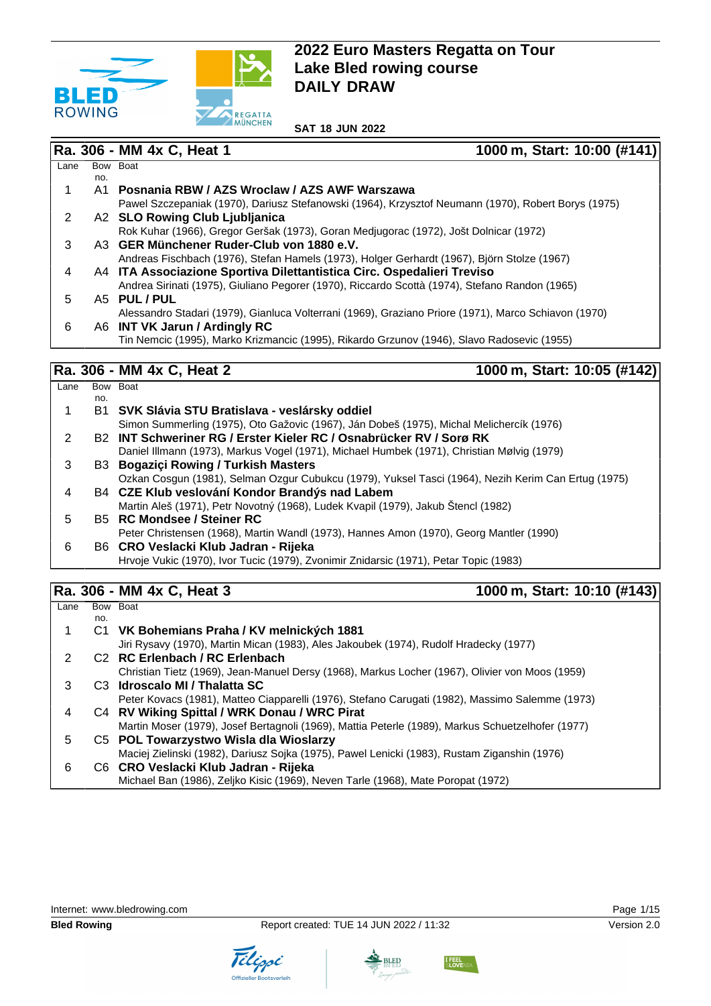

#### Ra. 306 - MM 4x C, Heat 1 1000 m, Start: 10:00 (#141)  $Lane$ no. Bow Boat 1 A1 **Posnania RBW / AZS Wroclaw / AZS AWF Warszawa** Pawel Szczepaniak (1970), Dariusz Stefanowski (1964), Krzysztof Neumann (1970), Robert Borys (1975) 2 A2 **SLO Rowing Club Ljubljanica** Rok Kuhar (1966), Gregor Geršak (1973), Goran Medjugorac (1972), Jošt Dolnicar (1972) 3 A3 **GER Münchener Ruder-Club von 1880 e.V.** Andreas Fischbach (1976), Stefan Hamels (1973), Holger Gerhardt (1967), Björn Stolze (1967) 4 A4 **ITA Associazione Sportiva Dilettantistica Circ. Ospedalieri Treviso** Andrea Sirinati (1975), Giuliano Pegorer (1970), Riccardo Scottà (1974), Stefano Randon (1965) 5 A5 **PUL / PUL** Alessandro Stadari (1979), Gianluca Volterrani (1969), Graziano Priore (1971), Marco Schiavon (1970) 6 A6 **INT VK Jarun / Ardingly RC** Tin Nemcic (1995), Marko Krizmancic (1995), Rikardo Grzunov (1946), Slavo Radosevic (1955)

# **Ra. 306 - MM 4x C, Heat 2 1000 m, Start: 10:05 (#142)**

| Lane |     | Bow Boat                                                                                            |
|------|-----|-----------------------------------------------------------------------------------------------------|
|      | no. |                                                                                                     |
|      |     | B1 SVK Slávia STU Bratislava - veslársky oddiel                                                     |
|      |     | Simon Summerling (1975), Oto Gažovic (1967), Ján Dobeš (1975), Michal Melichercík (1976)            |
| 2    |     | B <sub>2</sub> INT Schweriner RG / Erster Kieler RC / Osnabrücker RV / Sorø RK                      |
|      |     | Daniel Illmann (1973), Markus Vogel (1971), Michael Humbek (1971), Christian Mølvig (1979)          |
| 3    |     | <b>B3 Bogaziçi Rowing / Turkish Masters</b>                                                         |
|      |     | Ozkan Cosgun (1981), Selman Ozgur Cubukcu (1979), Yuksel Tasci (1964), Nezih Kerim Can Ertug (1975) |
| 4    |     | B4 CZE Klub veslování Kondor Brandýs nad Labem                                                      |
|      |     | Martin Aleš (1971), Petr Novotný (1968), Ludek Kvapil (1979), Jakub Štencl (1982)                   |
| 5    |     | B5 RC Mondsee / Steiner RC                                                                          |
|      |     | Peter Christensen (1968), Martin Wandl (1973), Hannes Amon (1970), Georg Mantler (1990)             |
| 6    |     | B6 CRO Veslacki Klub Jadran - Rijeka                                                                |
|      |     | Hrvoje Vukic (1970), Ivor Tucic (1979), Zvonimir Znidarsic (1971), Petar Topic (1983)               |
|      |     |                                                                                                     |

## **Ra. 306 - MM 4x C, Heat 3 1000 m, Start: 10:10 (#143)**

| Lane |     | Bow Boat                                                                                          |
|------|-----|---------------------------------------------------------------------------------------------------|
|      | no. |                                                                                                   |
|      |     | C1 VK Bohemians Praha / KV melnických 1881                                                        |
|      |     | Jiri Rysavy (1970), Martin Mican (1983), Ales Jakoubek (1974), Rudolf Hradecky (1977)             |
| 2    |     | C <sub>2</sub> RC Erlenbach / RC Erlenbach                                                        |
|      |     | Christian Tietz (1969), Jean-Manuel Dersy (1968), Markus Locher (1967), Olivier von Moos (1959)   |
| 3    |     | C3 Idroscalo MI / Thalatta SC                                                                     |
|      |     | Peter Kovacs (1981), Matteo Ciapparelli (1976), Stefano Carugati (1982), Massimo Salemme (1973)   |
| 4    |     | C4 RV Wiking Spittal / WRK Donau / WRC Pirat                                                      |
|      |     | Martin Moser (1979), Josef Bertagnoli (1969), Mattia Peterle (1989), Markus Schuetzelhofer (1977) |
| 5    |     | C5 POL Towarzystwo Wisla dla Wioslarzy                                                            |
|      |     | Maciej Zielinski (1982), Dariusz Sojka (1975), Pawel Lenicki (1983), Rustam Ziganshin (1976)      |
| 6    |     | C6 CRO Veslacki Klub Jadran - Rijeka                                                              |
|      |     | Michael Ban (1986), Zeljko Kisic (1969), Neven Tarle (1968), Mate Poropat (1972)                  |



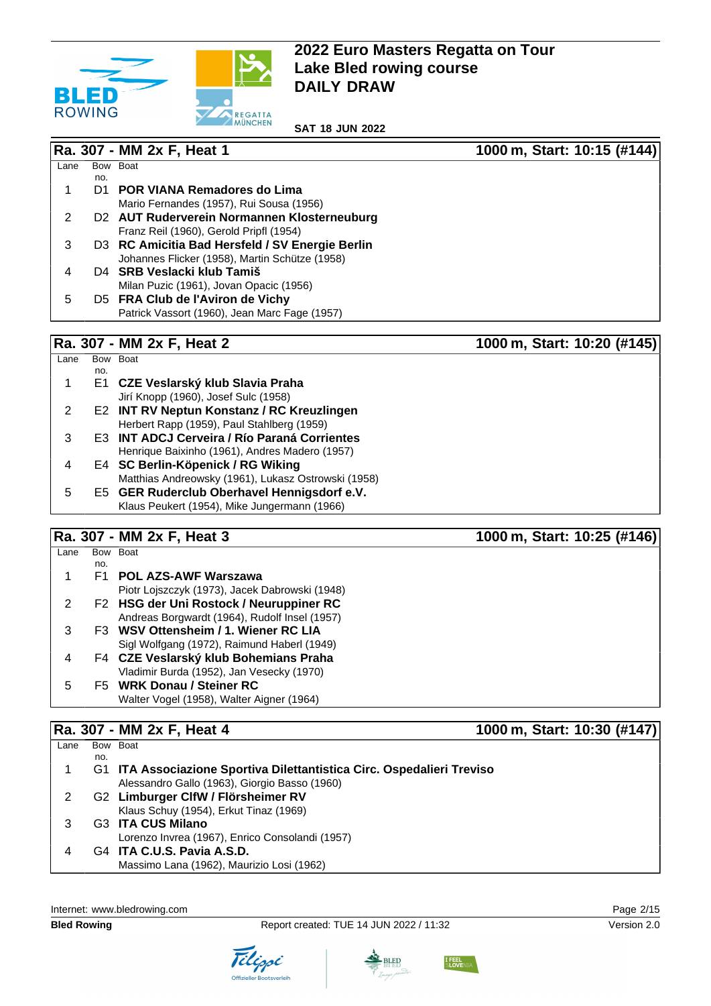

**SAT 18 JUN 2022**

|      |     | Ra. 307 - MM 2x F, Heat 1                       | 1000 m, Start: 10:15 (#144) |
|------|-----|-------------------------------------------------|-----------------------------|
| Lane |     | Bow Boat                                        |                             |
|      | no. |                                                 |                             |
|      | D1  | <b>POR VIANA Remadores do Lima</b>              |                             |
|      |     | Mario Fernandes (1957), Rui Sousa (1956)        |                             |
| 2    |     | D2 AUT Ruderverein Normannen Klosterneuburg     |                             |
|      |     | Franz Reil (1960), Gerold Pripfl (1954)         |                             |
| 3    |     | D3 RC Amicitia Bad Hersfeld / SV Energie Berlin |                             |
|      |     | Johannes Flicker (1958), Martin Schütze (1958)  |                             |
| 4    |     | D <sub>4</sub> SRB Veslacki klub Tamiš          |                             |
|      |     | Milan Puzic (1961), Jovan Opacic (1956)         |                             |
| 5    |     | D5 FRA Club de l'Aviron de Vichy                |                             |
|      |     | Patrick Vassort (1960), Jean Marc Fage (1957)   |                             |
|      |     | Ra. 307 - MM 2x F, Heat 2                       | 1000 m, Start: 10:20 (#145) |

| _ane | Bow | <b>Boat</b>                                         |
|------|-----|-----------------------------------------------------|
|      | no. |                                                     |
| 1    |     | E1 CZE Veslarský klub Slavia Praha                  |
|      |     | Jirí Knopp (1960), Josef Sulc (1958)                |
| 2    |     | E2 INT RV Neptun Konstanz / RC Kreuzlingen          |
|      |     | Herbert Rapp (1959), Paul Stahlberg (1959)          |
| 3    |     | E3 INT ADCJ Cerveira / Río Paraná Corrientes        |
|      |     | Henrique Baixinho (1961), Andres Madero (1957)      |
| 4    |     | E4 SC Berlin-Köpenick / RG Wiking                   |
|      |     | Matthias Andreowsky (1961), Lukasz Ostrowski (1958) |
| 5    |     | E5 GER Ruderclub Oberhavel Hennigsdorf e.V.         |
|      |     | Klaus Peukert (1954), Mike Jungermann (1966)        |

# **Ra. 307 - MM 2x F, Heat 3 1000 m, Start: 10:25 (#146)**

| Lane |     | Bow Boat                                       |
|------|-----|------------------------------------------------|
|      | no. |                                                |
|      | F1  | <b>POL AZS-AWF Warszawa</b>                    |
|      |     | Piotr Lojszczyk (1973), Jacek Dabrowski (1948) |
|      |     | F2 HSG der Uni Rostock / Neuruppiner RC        |
|      |     | Andreas Borgwardt (1964), Rudolf Insel (1957)  |
| з    |     | F3 WSV Ottensheim / 1. Wiener RC LIA           |
|      |     | Sigl Wolfgang (1972), Raimund Haberl (1949)    |
| 4    |     | F4 CZE Veslarský klub Bohemians Praha          |
|      |     | Vladimir Burda (1952), Jan Vesecky (1970)      |
| 5    |     | F5 WRK Donau / Steiner RC                      |
|      |     | Walter Vogel (1958), Walter Aigner (1964)      |
|      |     |                                                |

# **Ra. 307 - MM 2x F, Heat 4** 1000 m, Start: 10:30 (#147)

| Lane |     | Bow Boat                                                               |
|------|-----|------------------------------------------------------------------------|
|      | no. |                                                                        |
|      |     | G1 ITA Associazione Sportiva Dilettantistica Circ. Ospedalieri Treviso |
|      |     | Alessandro Gallo (1963), Giorgio Basso (1960)                          |
|      |     | G2 Limburger ClfW / Flörsheimer RV                                     |
|      |     | Klaus Schuy (1954), Erkut Tinaz (1969)                                 |
|      |     | G3 ITA CUS Milano                                                      |
|      |     | Lorenzo Invrea (1967), Enrico Consolandi (1957)                        |
|      |     | G4 ITA C.U.S. Pavia A.S.D.                                             |
|      |     | Massimo Lana (1962), Maurizio Losi (1962)                              |
|      |     |                                                                        |

Internet: [www.bledrowing.com](http://www.bledrowing.com) **Page 2/15** 







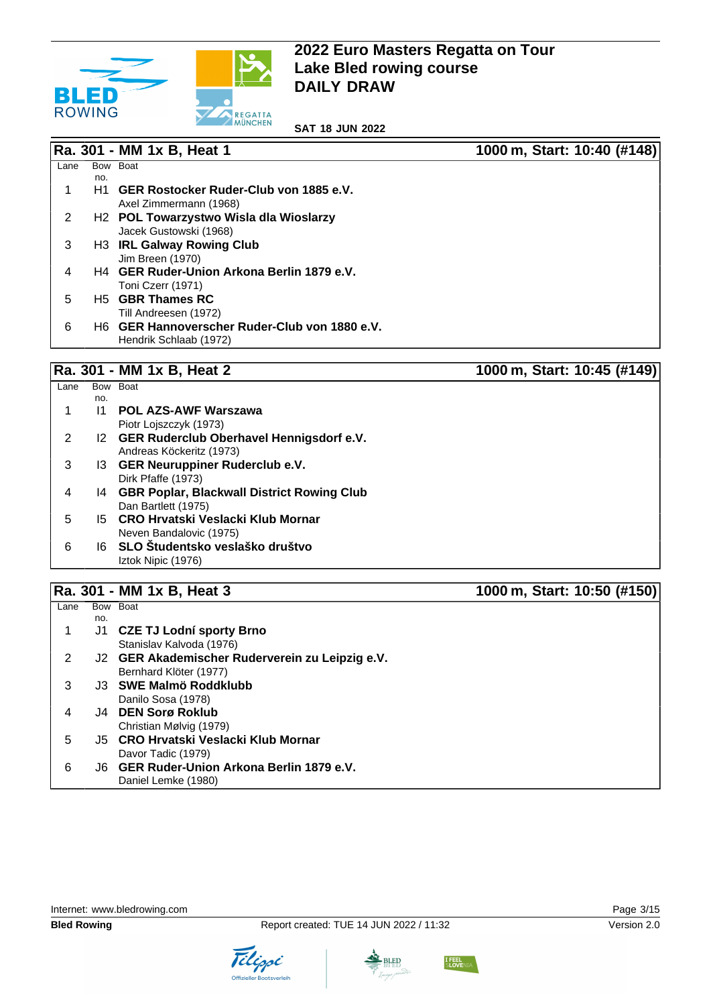

**SAT 18 JUN 2022**

|      |     | Ra. 301 - MM 1x B, Heat 1                          | 1000 m, Start: 10:40 (#148) |
|------|-----|----------------------------------------------------|-----------------------------|
|      |     |                                                    |                             |
| Lane |     | Bow Boat                                           |                             |
|      | no. |                                                    |                             |
|      | H1. | GER Rostocker Ruder-Club von 1885 e.V.             |                             |
|      |     | Axel Zimmermann (1968)                             |                             |
| 2    |     | H <sub>2</sub> POL Towarzystwo Wisla dla Wioslarzy |                             |
|      |     | Jacek Gustowski (1968)                             |                             |
| 3    |     | H3 IRL Galway Rowing Club                          |                             |
|      |     | Jim Breen (1970)                                   |                             |
| 4    |     | H4 GER Ruder-Union Arkona Berlin 1879 e.V.         |                             |
|      |     | Toni Czerr (1971)                                  |                             |
| 5    |     | H <sub>5</sub> GBR Thames RC                       |                             |
|      |     | Till Andreesen (1972)                              |                             |
| 6    |     | H6 GER Hannoverscher Ruder-Club von 1880 e.V.      |                             |
|      |     | Hendrik Schlaab (1972)                             |                             |

# **Ra. 301 - MM 1x B, Heat 2 1000 m, Start: 10:45 (#149)**

| Lane | Bow | <b>Boat</b>                                   |
|------|-----|-----------------------------------------------|
|      | no. |                                               |
|      | 11  | <b>POL AZS-AWF Warszawa</b>                   |
|      |     | Piotr Loiszczyk (1973)                        |
| 2    |     | I2 GER Ruderclub Oberhavel Hennigsdorf e.V.   |
|      |     | Andreas Köckeritz (1973)                      |
| 3    |     | 13 GER Neuruppiner Ruderclub e.V.             |
|      |     | Dirk Pfaffe (1973)                            |
| 4    |     | 14 GBR Poplar, Blackwall District Rowing Club |
|      |     | Dan Bartlett (1975)                           |
| 5    |     | 15 CRO Hrvatski Veslacki Klub Mornar          |
|      |     | Neven Bandalovic (1975)                       |
| 6    |     | 16 SLO Študentsko veslaško društvo            |
|      |     | Iztok Nipic (1976)                            |

### **Ra. 301 - MM 1x B, Heat 3 1000 m, Start: 10:50 (#150)**

#### $Lane$ no. Bow Boat 1 J1 **CZE TJ Lodní sporty Brno** Stanislav Kalvoda (1976) 2 J2 **GER Akademischer Ruderverein zu Leipzig e.V.** Bernhard Klöter (1977) 3 J3 **SWE Malmö Roddklubb** Danilo Sosa (1978) 4 J4 **DEN Sorø Roklub** Christian Mølvig (1979) 5 J5 **CRO Hrvatski Veslacki Klub Mornar** Davor Tadic (1979) 6 J6 **GER Ruder-Union Arkona Berlin 1879 e.V.** Daniel Lemke (1980)

Internet: [www.bledrowing.com](http://www.bledrowing.com) **Page 3/15** 





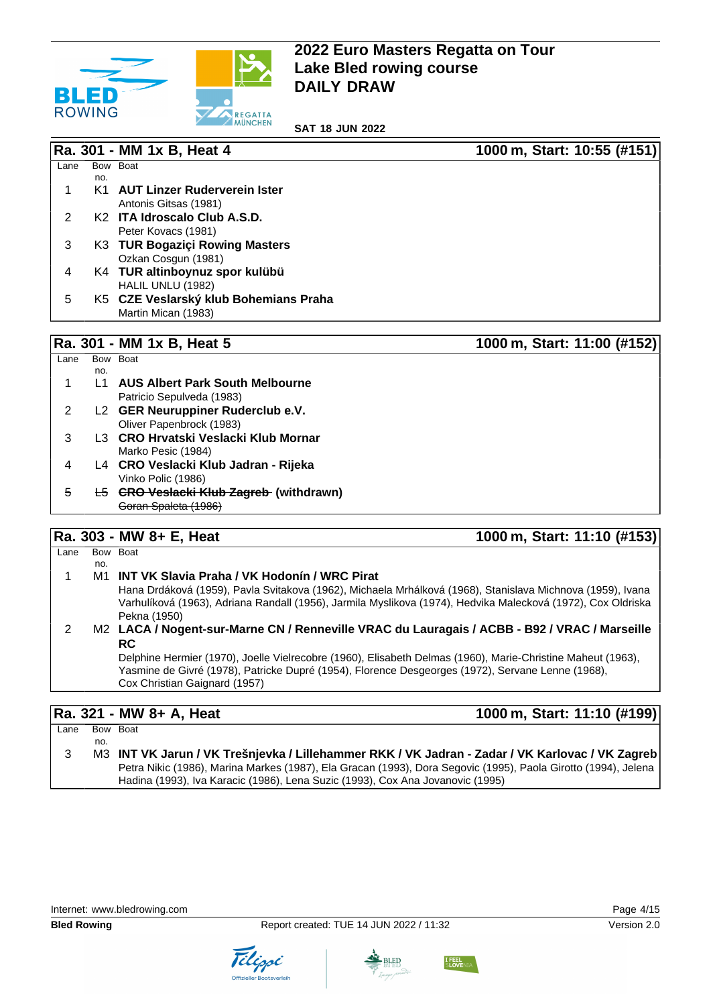

**SAT 18 JUN 2022**

|               |     | Ra. 301 - MM 1x B, Heat 4                | 1000 m, Start: 10:55 (#151) |
|---------------|-----|------------------------------------------|-----------------------------|
| Lane          |     | Bow Boat                                 |                             |
|               | no. |                                          |                             |
|               | K1  | <b>AUT Linzer Ruderverein Ister</b>      |                             |
|               |     | Antonis Gitsas (1981)                    |                             |
| $\mathcal{P}$ |     | K <sub>2</sub> ITA Idroscalo Club A.S.D. |                             |
|               |     | Peter Kovacs (1981)                      |                             |
| 3             |     | K3 TUR Bogaziçi Rowing Masters           |                             |
|               |     | Ozkan Cosgun (1981)                      |                             |
| 4             |     | K4 TUR altinboynuz spor kulübü           |                             |
|               |     | HALIL UNLU (1982)                        |                             |
| 5             |     | K5 CZE Veslarský klub Bohemians Praha    |                             |
|               |     | Martin Mican (1983)                      |                             |
|               |     |                                          |                             |

#### **Ra. 301 - MM 1x B, Heat 5 1000 m, Start: 11:00 (#152)**

| Lane | Bow | <b>Boat</b>                                    |
|------|-----|------------------------------------------------|
|      | no. |                                                |
| 1    | l 1 | <b>AUS Albert Park South Melbourne</b>         |
|      |     | Patricio Sepulveda (1983)                      |
| 2    |     | L2 GER Neuruppiner Ruderclub e.V.              |
|      |     | Oliver Papenbrock (1983)                       |
| 3    |     | L3 CRO Hrvatski Veslacki Klub Mornar           |
|      |     | Marko Pesic (1984)                             |
| 4    |     | L4 CRO Veslacki Klub Jadran - Rijeka           |
|      |     | Vinko Polic (1986)                             |
| 5    |     | <b>L5 GRO Veslacki Klub Zagreb (withdrawn)</b> |
|      |     | Goran Spaleta (1986)                           |

## **Ra. 303 - MW 8+ E, Heat 1000 m, Start: 11:10 (#153)**

| Lane |     | Bow Boat                                                                                                     |
|------|-----|--------------------------------------------------------------------------------------------------------------|
|      | no. |                                                                                                              |
|      |     | M1 INT VK Slavia Praha / VK Hodonín / WRC Pirat                                                              |
|      |     | Hana Drdáková (1959), Pavla Svitakova (1962), Michaela Mrhálková (1968), Stanislava Michnova (1959), Ivana   |
|      |     | Varhulíková (1963), Adriana Randall (1956), Jarmila Myslikova (1974), Hedvika Malecková (1972), Cox Oldriska |
|      |     | Pekna (1950)                                                                                                 |
|      |     | M2 LACA / Nogent-sur-Marne CN / Renneville VRAC du Lauragais / ACBB - B92 / VRAC / Marseille                 |
|      |     | <b>RC</b>                                                                                                    |
|      |     | Delphine Hermier (1970), Joelle Vielrecobre (1960), Elisabeth Delmas (1960), Marie-Christine Maheut (1963),  |
|      |     | Yasmine de Givré (1978), Patricke Dupré (1954), Florence Desgeorges (1972), Servane Lenne (1968),            |
|      |     | Cox Christian Gaignard (1957)                                                                                |
|      |     |                                                                                                              |

**Ra. 321 - MW 8+ A, Heat 1000 m, Start: 11:10 (#199)**

 $Lane$ no. Bow Boat 3 M3 **INT VK Jarun / VK Trešnjevka / Lillehammer RKK / VK Jadran - Zadar / VK Karlovac / VK Zagreb** Petra Nikic (1986), Marina Markes (1987), Ela Gracan (1993), Dora Segovic (1995), Paola Girotto (1994), Jelena Hadina (1993), Iva Karacic (1986), Lena Suzic (1993), Cox Ana Jovanovic (1995)





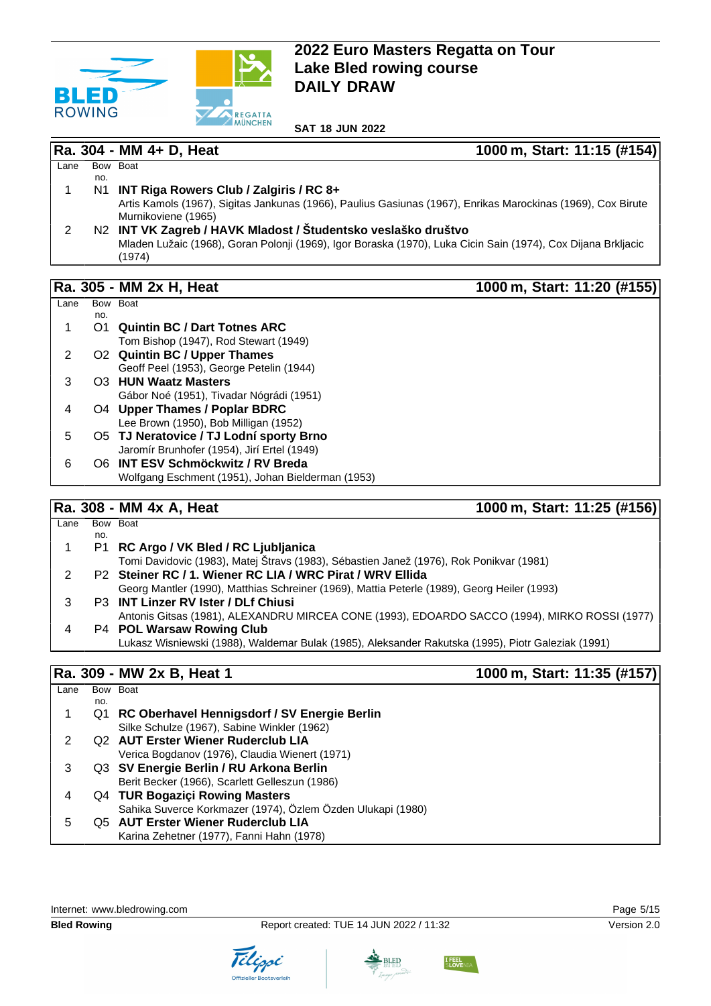

#### **Ra. 304 - MM 4+ D, Heat 1000 m, Start: 11:15 (#154)**

| Lane |     | Bow Boat                                                                                                      |
|------|-----|---------------------------------------------------------------------------------------------------------------|
|      | no. |                                                                                                               |
|      |     | N1 INT Riga Rowers Club / Zalgiris / RC 8+                                                                    |
|      |     | Artis Kamols (1967), Sigitas Jankunas (1966), Paulius Gasiunas (1967), Enrikas Marockinas (1969), Cox Birute  |
|      |     | Murnikoviene (1965)                                                                                           |
|      |     | N2 INT VK Zagreb / HAVK Mladost / Študentsko veslaško društvo                                                 |
|      |     | Mladen Lužaic (1968), Goran Polonji (1969), Igor Boraska (1970), Luka Cicin Sain (1974), Cox Dijana Brkljacic |
|      |     | (1974)                                                                                                        |

### **Ra. 305 - MM 2x H, Heat 1000 m, Start: 11:20 (#155)**

#### Lane Bow Boat no. 1 O1 **Quintin BC / Dart Totnes ARC** Tom Bishop (1947), Rod Stewart (1949) 2 O2 **Quintin BC / Upper Thames** Geoff Peel (1953), George Petelin (1944) 3 O3 **HUN Waatz Masters** Gábor Noé (1951), Tivadar Nógrádi (1951) 4 O4 **Upper Thames / Poplar BDRC** Lee Brown (1950), Bob Milligan (1952) 5 O5 **TJ Neratovice / TJ Lodní sporty Brno** Jaromír Brunhofer (1954), Jirí Ertel (1949) 6 O6 **INT ESV Schmöckwitz / RV Breda** Wolfgang Eschment (1951), Johan Bielderman (1953)

### **Ra. 308 - MM 4x A, Heat 1000 m, Start: 11:25 (#156)**

| Lane |     | Bow Boat                                                                                           |
|------|-----|----------------------------------------------------------------------------------------------------|
|      | no. |                                                                                                    |
|      |     | P1 RC Argo / VK Bled / RC Ljubljanica                                                              |
|      |     | Tomi Davidovic (1983), Matej Štravs (1983), Sébastien Janež (1976), Rok Ponikvar (1981)            |
|      |     | P2 Steiner RC / 1. Wiener RC LIA / WRC Pirat / WRV Ellida                                          |
|      |     | Georg Mantler (1990), Matthias Schreiner (1969), Mattia Peterle (1989), Georg Heiler (1993)        |
|      |     | P3 INT Linzer RV Ister / DLf Chiusi                                                                |
|      |     | Antonis Gitsas (1981), ALEXANDRU MIRCEA CONE (1993), EDOARDO SACCO (1994), MIRKO ROSSI (1977)      |
| 4    |     | P4 POL Warsaw Rowing Club                                                                          |
|      |     | Lukasz Wisniewski (1988), Waldemar Bulak (1985), Aleksander Rakutska (1995), Piotr Galeziak (1991) |

## **Ra. 309 - MW 2x B, Heat 1** 1000 m, Start: 11:35 (#157)

| Lane |     | Bow Boat                                                    |
|------|-----|-------------------------------------------------------------|
|      | no. |                                                             |
|      |     | Q1 RC Oberhavel Hennigsdorf / SV Energie Berlin             |
|      |     | Silke Schulze (1967), Sabine Winkler (1962)                 |
|      |     | Q2 AUT Erster Wiener Ruderclub LIA                          |
|      |     | Verica Bogdanov (1976), Claudia Wienert (1971)              |
| 3    |     | Q3 SV Energie Berlin / RU Arkona Berlin                     |
|      |     | Berit Becker (1966), Scarlett Gelleszun (1986)              |
| 4    |     | Q4 TUR Bogaziçi Rowing Masters                              |
|      |     | Sahika Suverce Korkmazer (1974), Özlem Özden Ulukapi (1980) |
| 5    |     | Q5 AUT Erster Wiener Ruderclub LIA                          |
|      |     | Karina Zehetner (1977), Fanni Hahn (1978)                   |
|      |     |                                                             |



Tilippi



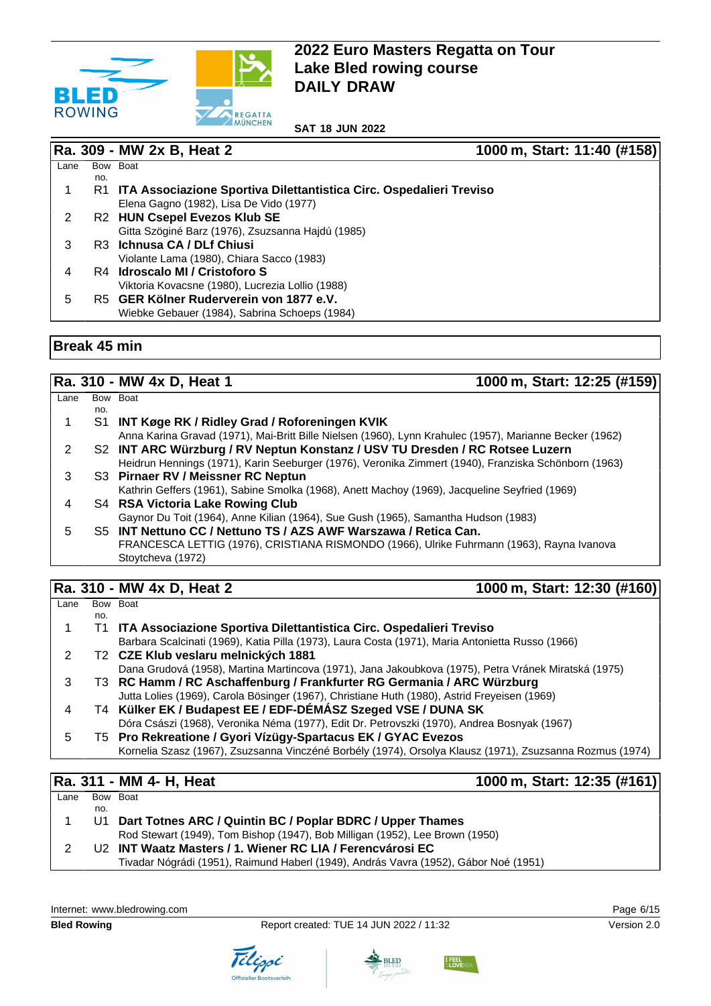

**SAT 18 JUN 2022**

#### **Ra. 309 - MW 2x B, Heat 2 1000 m, Start: 11:40 (#158)**

| Lane |     | Bow Boat                                                            |
|------|-----|---------------------------------------------------------------------|
|      | no. |                                                                     |
|      | R1  | ITA Associazione Sportiva Dilettantistica Circ. Ospedalieri Treviso |
|      |     | Elena Gagno (1982), Lisa De Vido (1977)                             |
|      |     | R2 HUN Csepel Evezos Klub SE                                        |
|      |     | Gitta Szöginé Barz (1976), Zsuzsanna Hajdú (1985)                   |
|      |     | R <sub>3</sub> Ichnusa CA / DLf Chiusi                              |
|      |     | Violante Lama (1980), Chiara Sacco (1983)                           |
| 4    |     | R4 Idroscalo MI / Cristoforo S                                      |
|      |     | Viktoria Kovacsne (1980), Lucrezia Lollio (1988)                    |
| 5    |     | R5 GER Kölner Ruderverein von 1877 e.V.                             |
|      |     | Wiebke Gebauer (1984), Sabrina Schoeps (1984)                       |

#### **Break 45 min**

## **Ra. 310 - MW 4x D, Heat 1** 1000 m, Start: 12:25 (#159)

| Lane |     | Bow Boat                                                                                                |
|------|-----|---------------------------------------------------------------------------------------------------------|
|      | no. |                                                                                                         |
|      |     | S1 INT Køge RK / Ridley Grad / Roforeningen KVIK                                                        |
|      |     | Anna Karina Gravad (1971), Mai-Britt Bille Nielsen (1960), Lynn Krahulec (1957), Marianne Becker (1962) |
| 2    |     | S2 INT ARC Würzburg / RV Neptun Konstanz / USV TU Dresden / RC Rotsee Luzern                            |
|      |     | Heidrun Hennings (1971), Karin Seeburger (1976), Veronika Zimmert (1940), Franziska Schönborn (1963)    |
| 3    |     | S3 Pirnaer RV / Meissner RC Neptun                                                                      |
|      |     | Kathrin Geffers (1961), Sabine Smolka (1968), Anett Machoy (1969), Jacqueline Seyfried (1969)           |
| 4    |     | S4 RSA Victoria Lake Rowing Club                                                                        |
|      |     | Gaynor Du Toit (1964), Anne Kilian (1964), Sue Gush (1965), Samantha Hudson (1983)                      |
| 5.   |     | S5 INT Nettuno CC / Nettuno TS / AZS AWF Warszawa / Retica Can.                                         |
|      |     | FRANCESCA LETTIG (1976), CRISTIANA RISMONDO (1966), Ulrike Fuhrmann (1963), Rayna Ivanova               |
|      |     | Stoytcheva (1972)                                                                                       |
|      |     |                                                                                                         |

# **Ra. 310 - MW 4x D, Heat 2 1000 m, Start: 12:30 (#160)**

| Lane |     | Bow Boat                                                                                                 |
|------|-----|----------------------------------------------------------------------------------------------------------|
|      | no. |                                                                                                          |
|      | T1. | ITA Associazione Sportiva Dilettantistica Circ. Ospedalieri Treviso                                      |
|      |     | Barbara Scalcinati (1969), Katia Pilla (1973), Laura Costa (1971), Maria Antonietta Russo (1966)         |
|      |     | T2 CZE Klub veslaru melnických 1881                                                                      |
|      |     | Dana Grudová (1958), Martina Martincova (1971), Jana Jakoubkova (1975), Petra Vránek Miratská (1975)     |
| 3    |     | T3 RC Hamm / RC Aschaffenburg / Frankfurter RG Germania / ARC Würzburg                                   |
|      |     | Jutta Lolies (1969), Carola Bösinger (1967), Christiane Huth (1980), Astrid Freyeisen (1969)             |
| 4    |     | T4 Külker EK / Budapest EE / EDF-DÉMÁSZ Szeged VSE / DUNA SK                                             |
|      |     | Dóra Császi (1968), Veronika Néma (1977), Edit Dr. Petrovszki (1970), Andrea Bosnyak (1967)              |
| ٠h   |     | T5 Pro Rekreatione / Gyori Vízügy-Spartacus EK / GYAC Evezos                                             |
|      |     | Kornelia Szasz (1967), Zsuzsanna Vinczéné Borbély (1974), Orsolya Klausz (1971), Zsuzsanna Rozmus (1974) |
|      |     |                                                                                                          |

# **Ra. 311 - MM 4- H, Heat 1000 m, Start: 12:35 (#161)**

| Lane |     | Bow Boat                                                                             |  |
|------|-----|--------------------------------------------------------------------------------------|--|
|      | no. |                                                                                      |  |
|      |     | U1 Dart Totnes ARC / Quintin BC / Poplar BDRC / Upper Thames                         |  |
|      |     | Rod Stewart (1949), Tom Bishop (1947), Bob Milligan (1952), Lee Brown (1950)         |  |
|      |     | U <sub>2</sub> INT Waatz Masters / 1. Wiener RC LIA / Ferencyárosi EC                |  |
|      |     | Tivadar Nógrádi (1951), Raimund Haberl (1949), András Vavra (1952), Gábor Noé (1951) |  |
|      |     |                                                                                      |  |







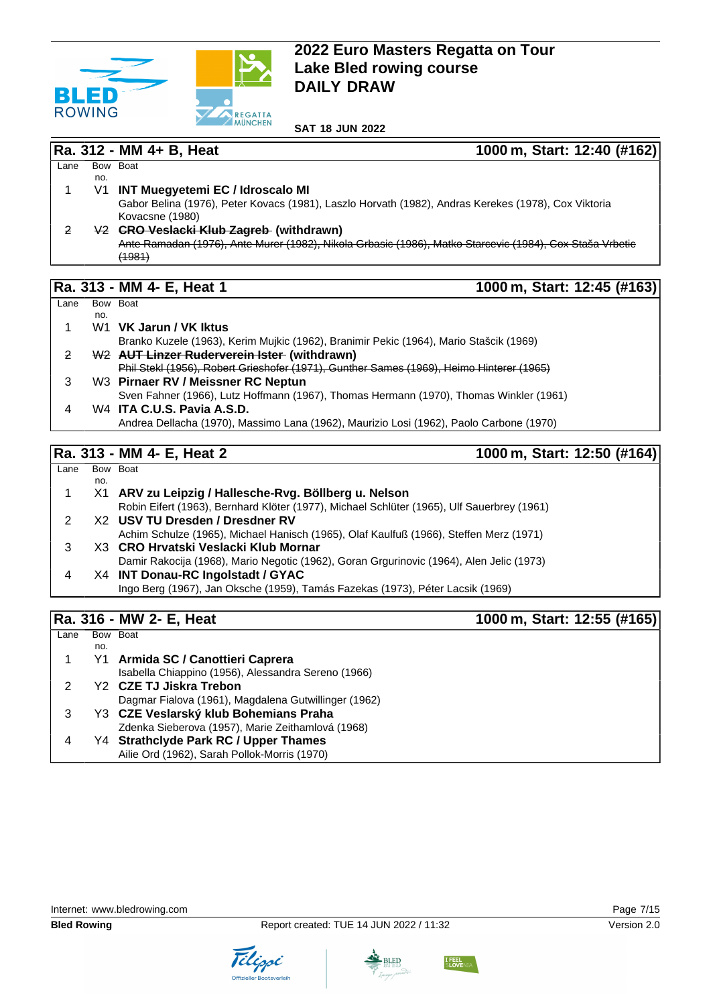

#### **Ra. 312 - MM 4+ B, Heat 1000 m, Start: 12:40 (#162)**

#### $Lane$ no. Bow Boat 1 V1 **INT Muegyetemi EC / Idroscalo MI** Gabor Belina (1976), Peter Kovacs (1981), Laszlo Horvath (1982), Andras Kerekes (1978), Cox Viktoria Kovacsne (1980) 2 V2 **CRO Veslacki Klub Zagreb (withdrawn)** Ante Ramadan (1976), Ante Murer (1982), Nikola Grbasic (1986), Matko Starcevic (1984), Cox Staša Vrbetic  $(1981)$

### **Ra. 313 - MM 4- E, Heat 1 1000 m, Start: 12:45 (#163)**

| Lane |     | Bow Boat                                                                                 |
|------|-----|------------------------------------------------------------------------------------------|
|      | no. |                                                                                          |
|      |     | W1 VK Jarun / VK Iktus                                                                   |
|      |     | Branko Kuzele (1963), Kerim Mujkic (1962), Branimir Pekic (1964), Mario Stašcik (1969)   |
| 2    |     | W <sub>2</sub> AUT Linzer Ruderverein Ister (withdrawn)                                  |
|      |     | Phil Stekl (1956), Robert Grieshofer (1971), Gunther Sames (1969), Heimo Hinterer (1965) |
|      |     | W3 Pirnaer RV / Meissner RC Neptun                                                       |
|      |     | Sven Fahner (1966), Lutz Hoffmann (1967), Thomas Hermann (1970), Thomas Winkler (1961)   |
| 4    |     | W <sub>4</sub> ITA C.U.S. Pavia A.S.D.                                                   |
|      |     | Andrea Dellacha (1970), Massimo Lana (1962), Maurizio Losi (1962), Paolo Carbone (1970)  |

# **Ra. 313 - MM 4- E, Heat 2 1000 m, Start: 12:50 (#164)**

| Lane |     | Bow Boat                                                                                   |
|------|-----|--------------------------------------------------------------------------------------------|
|      | no. |                                                                                            |
|      |     | X1 ARV zu Leipzig / Hallesche-Rvg. Böllberg u. Nelson                                      |
|      |     | Robin Eifert (1963), Bernhard Klöter (1977), Michael Schlüter (1965), Ulf Sauerbrey (1961) |
|      |     | X2 USV TU Dresden / Dresdner RV                                                            |
|      |     | Achim Schulze (1965), Michael Hanisch (1965), Olaf Kaulfuß (1966), Steffen Merz (1971)     |
| З    |     | X3 CRO Hrvatski Veslacki Klub Mornar                                                       |
|      |     | Damir Rakocija (1968), Mario Negotic (1962), Goran Grgurinovic (1964), Alen Jelic (1973)   |
| 4    |     | X4 INT Donau-RC Ingolstadt / GYAC                                                          |
|      |     | Ingo Berg (1967), Jan Oksche (1959), Tamás Fazekas (1973), Péter Lacsik (1969)             |
|      |     |                                                                                            |

# **Ra. 316 - MW 2- E, Heat 1000 m, Start: 12:55 (#165)**

| Lane |     | Bow Boat                                             |
|------|-----|------------------------------------------------------|
|      | no. |                                                      |
|      | Υ1  | Armida SC / Canottieri Caprera                       |
|      |     | Isabella Chiappino (1956), Alessandra Sereno (1966)  |
|      |     | Y2 CZE TJ Jiskra Trebon                              |
|      |     | Dagmar Fialova (1961), Magdalena Gutwillinger (1962) |
|      |     | Y3 CZE Veslarský klub Bohemians Praha                |
|      |     | Zdenka Sieberova (1957), Marie Zeithamlová (1968)    |
|      |     | Y4 Strathclyde Park RC / Upper Thames                |
|      |     | Ailie Ord (1962), Sarah Pollok-Morris (1970)         |







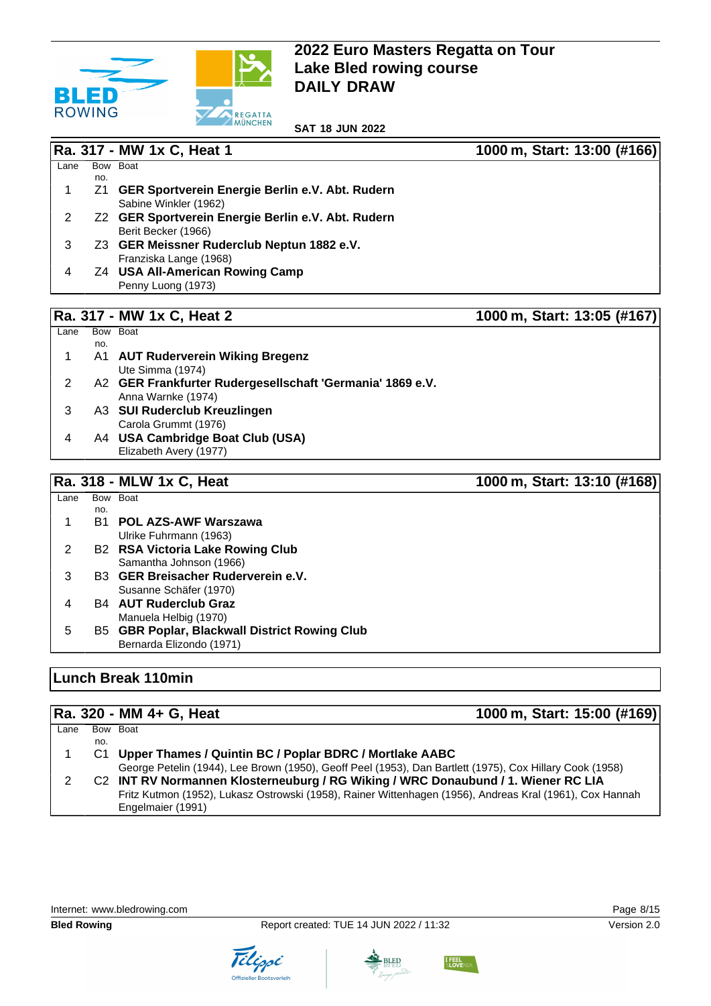

**SAT 18 JUN 2022**

|                |     | Ra. 317 - MW 1x C, Heat 1                                 | 1000 m, Start: 13:00 (#166) |
|----------------|-----|-----------------------------------------------------------|-----------------------------|
| Lane           |     | Bow Boat                                                  |                             |
| 1              | no. | Z1 GER Sportverein Energie Berlin e.V. Abt. Rudern        |                             |
|                |     | Sabine Winkler (1962)                                     |                             |
| $\overline{2}$ |     | Z2 GER Sportverein Energie Berlin e.V. Abt. Rudern        |                             |
|                |     | Berit Becker (1966)                                       |                             |
| 3              |     | Z3 GER Meissner Ruderclub Neptun 1882 e.V.                |                             |
|                |     | Franziska Lange (1968)                                    |                             |
| 4              |     | Z4 USA All-American Rowing Camp                           |                             |
|                |     | Penny Luong (1973)                                        |                             |
|                |     |                                                           |                             |
|                |     | Ra. 317 - MW 1x C, Heat 2                                 | 1000 m, Start: 13:05 (#167) |
| Lane           | no. | Bow Boat                                                  |                             |
| 1              |     | A1 AUT Ruderverein Wiking Bregenz                         |                             |
|                |     | Ute Simma (1974)                                          |                             |
| $\overline{2}$ |     | A2 GER Frankfurter Rudergesellschaft 'Germania' 1869 e.V. |                             |
|                |     | Anna Warnke (1974)                                        |                             |
| 3              |     | A3 SUI Ruderclub Kreuzlingen                              |                             |
|                |     | Carola Grummt (1976)                                      |                             |
| 4              |     | A4 USA Cambridge Boat Club (USA)                          |                             |
|                |     | Elizabeth Avery (1977)                                    |                             |
|                |     |                                                           |                             |
|                |     | Ra. 318 - MLW 1x C, Heat                                  | 1000 m, Start: 13:10 (#168) |
| Lane           | no. | Bow Boat                                                  |                             |
| 1              |     | <b>B1 POL AZS-AWF Warszawa</b>                            |                             |
|                |     | Ulrike Fuhrmann (1963)                                    |                             |
| $\overline{2}$ |     | <b>B2 RSA Victoria Lake Rowing Club</b>                   |                             |
|                |     | Samantha Johnson (1966)                                   |                             |
| 3              |     | B3 GER Breisacher Ruderverein e.V.                        |                             |
|                |     | Susanne Schäfer (1970)                                    |                             |
| 4              |     | <b>B4 AUT Ruderclub Graz</b>                              |                             |
|                |     | Manuela Helbig (1970)                                     |                             |
| 5              |     | <b>B5 GBR Poplar, Blackwall District Rowing Club</b>      |                             |
|                |     | Bernarda Elizondo (1971)                                  |                             |

### **Lunch Break 110min**

#### **Ra. 320 - MM 4+ G, Heat 1000 m, Start: 15:00 (#169)**  $Lane$ no. Bow Boat 1 C1 **Upper Thames / Quintin BC / Poplar BDRC / Mortlake AABC** George Petelin (1944), Lee Brown (1950), Geoff Peel (1953), Dan Bartlett (1975), Cox Hillary Cook (1958) 2 C2 **INT RV Normannen Klosterneuburg / RG Wiking / WRC Donaubund / 1. Wiener RC LIA** Fritz Kutmon (1952), Lukasz Ostrowski (1958), Rainer Wittenhagen (1956), Andreas Kral (1961), Cox Hannah Engelmaier (1991)





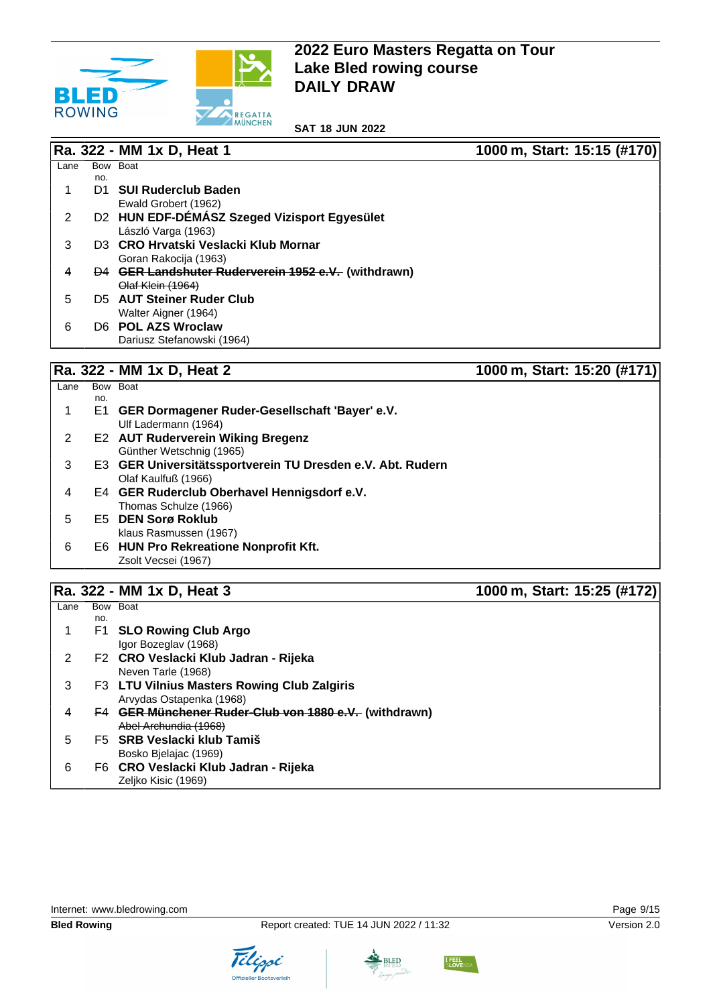

**SAT 18 JUN 2022**

|      |     | Ra. 322 - MM 1x D, Heat 1                           | 1000 m, Start: 15:15 (#170) |
|------|-----|-----------------------------------------------------|-----------------------------|
| Lane |     | Bow Boat                                            |                             |
|      | no. |                                                     |                             |
|      | D1. | <b>SUI Ruderclub Baden</b>                          |                             |
|      |     | Ewald Grobert (1962)                                |                             |
| 2    |     | D2 HUN EDF-DEMASZ Szeged Vizisport Egyesület        |                             |
|      |     | László Varga (1963)                                 |                             |
| 3    |     | D3 CRO Hrvatski Veslacki Klub Mornar                |                             |
|      |     | Goran Rakocija (1963)                               |                             |
| 4    |     | D4 GER Landshuter Ruderverein 1952 e.V. (withdrawn) |                             |
|      |     | Olaf Klein (1964)                                   |                             |
| 5    |     | D5 AUT Steiner Ruder Club                           |                             |
|      |     | Walter Aigner (1964)                                |                             |
| 6    |     | D6 POL AZS Wroclaw                                  |                             |
|      |     | Dariusz Stefanowski (1964)                          |                             |
|      |     |                                                     |                             |
|      |     | Ra. 322 - MM 1x D, Heat 2                           | 1000 m, Start: 15:20 (#171) |

| Lane |     | Bow Boat                                                   |
|------|-----|------------------------------------------------------------|
|      | no. |                                                            |
| 1    |     | E1 GER Dormagener Ruder-Gesellschaft 'Bayer' e.V.          |
|      |     | Ulf Ladermann (1964)                                       |
| 2    |     | <b>E2 AUT Ruderverein Wiking Bregenz</b>                   |
|      |     | Günther Wetschnig (1965)                                   |
| 3    |     | E3 GER Universitätssportverein TU Dresden e.V. Abt. Rudern |
|      |     | Olaf Kaulfuß (1966)                                        |
| 4    |     | E4 GER Ruderclub Oberhavel Hennigsdorf e.V.                |
|      |     | Thomas Schulze (1966)                                      |
| 5    |     | E5 DEN Sorø Roklub                                         |
|      |     | klaus Rasmussen (1967)                                     |
| 6    |     | E6 HUN Pro Rekreatione Nonprofit Kft.                      |
|      |     | Zsolt Vecsei (1967)                                        |
|      |     |                                                            |

# **Ra. 322 - MM 1x D, Heat 3 1000 m, Start: 15:25 (#172)**

| Lane |     | Bow Boat                                              |
|------|-----|-------------------------------------------------------|
|      | no. |                                                       |
|      |     | F1 SLO Rowing Club Argo                               |
|      |     | Igor Bozeglav (1968)                                  |
| 2    |     | F2 CRO Veslacki Klub Jadran - Rijeka                  |
|      |     | Neven Tarle (1968)                                    |
| 3    |     | F3 LTU Vilnius Masters Rowing Club Zalgiris           |
|      |     | Arvydas Ostapenka (1968)                              |
| 4    |     | F4 GER Münchener Ruder-Club von 1880 e.V. (withdrawn) |
|      |     | Abel Archundia (1968)                                 |
| 5    |     | F5 SRB Veslacki klub Tamiš                            |
|      |     | Bosko Bielajac (1969)                                 |
| 6    |     | F6 CRO Veslacki Klub Jadran - Rijeka                  |
|      |     | Zeljko Kisic (1969)                                   |

Tilippi

Internet: [www.bledrowing.com](http://www.bledrowing.com) **Page 9/15** 

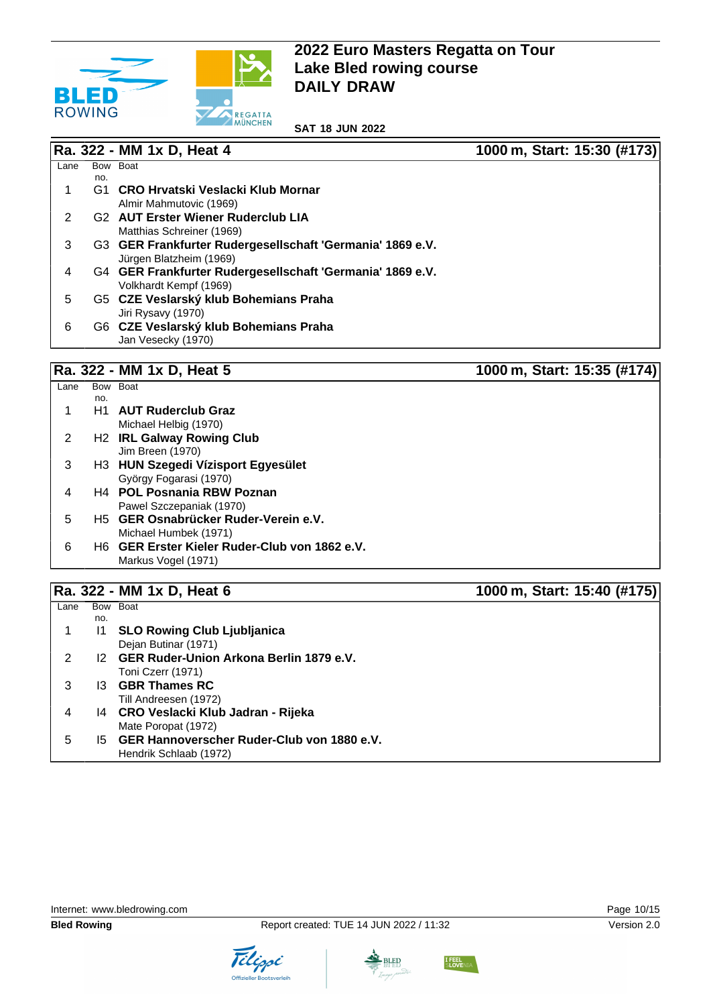

**SAT 18 JUN 2022**

|      |     | Ra. 322 - MM 1x D, Heat 4                                 | 1000 m, Start: 15:30 (#173) |
|------|-----|-----------------------------------------------------------|-----------------------------|
| Lane |     | Bow Boat                                                  |                             |
|      | no. |                                                           |                             |
|      | G1  | CRO Hrvatski Veslacki Klub Mornar                         |                             |
|      |     | Almir Mahmutovic (1969)                                   |                             |
| 2    |     | G <sub>2</sub> AUT Erster Wiener Ruderclub LIA            |                             |
|      |     | Matthias Schreiner (1969)                                 |                             |
| 3    |     | G3 GER Frankfurter Rudergesellschaft 'Germania' 1869 e.V. |                             |
|      |     | Jürgen Blatzheim (1969)                                   |                             |
| 4    |     | G4 GER Frankfurter Rudergesellschaft 'Germania' 1869 e.V. |                             |
|      |     | Volkhardt Kempf (1969)                                    |                             |
| 5    |     | G5 CZE Veslarský klub Bohemians Praha                     |                             |
|      |     | Jiri Rysavy (1970)                                        |                             |
| 6    |     | G6 CZE Veslarský klub Bohemians Praha                     |                             |
|      |     | Jan Vesecky (1970)                                        |                             |
|      |     |                                                           |                             |

# **Ra. 322 - MM 1x D, Heat 5 1000 m, Start: 15:35 (#174)**

| Lane | <b>Bow</b> | <b>Boat</b>                                               |
|------|------------|-----------------------------------------------------------|
|      | no.        |                                                           |
|      |            | H <sub>1</sub> AUT Ruderclub Graz                         |
|      |            | Michael Helbig (1970)                                     |
| 2    |            | H <sub>2</sub> IRL Galway Rowing Club                     |
|      |            | Jim Breen (1970)                                          |
| 3    |            | H3 HUN Szegedi Vízisport Egyesület                        |
|      |            | György Fogarasi (1970)                                    |
| 4    |            | <b>H4 POL Posnania RBW Poznan</b>                         |
|      |            | Pawel Szczepaniak (1970)                                  |
| 5    |            | H <sub>5</sub> GER Osnabrücker Ruder-Verein e.V.          |
|      |            | Michael Humbek (1971)                                     |
| 6    |            | H <sub>6</sub> GER Erster Kieler Ruder-Club von 1862 e.V. |
|      |            | Markus Vogel (1971)                                       |

# **Ra. 322 - MM 1x D, Heat 6 1000 m, Start: 15:40 (#175)**

| Lane | Bow | <b>Boat</b>                                   |
|------|-----|-----------------------------------------------|
|      | no. |                                               |
|      | 11  | <b>SLO Rowing Club Ljubljanica</b>            |
|      |     | Dejan Butinar (1971)                          |
| 2    |     | 12 GER Ruder-Union Arkona Berlin 1879 e.V.    |
|      |     | Toni Czerr (1971)                             |
| 3    |     | 13 GBR Thames RC                              |
|      |     | Till Andreesen (1972)                         |
| 4    |     | 14 CRO Veslacki Klub Jadran - Rijeka          |
|      |     | Mate Poropat (1972)                           |
| 5    |     | 15 GER Hannoverscher Ruder-Club von 1880 e.V. |
|      |     | Hendrik Schlaab (1972)                        |





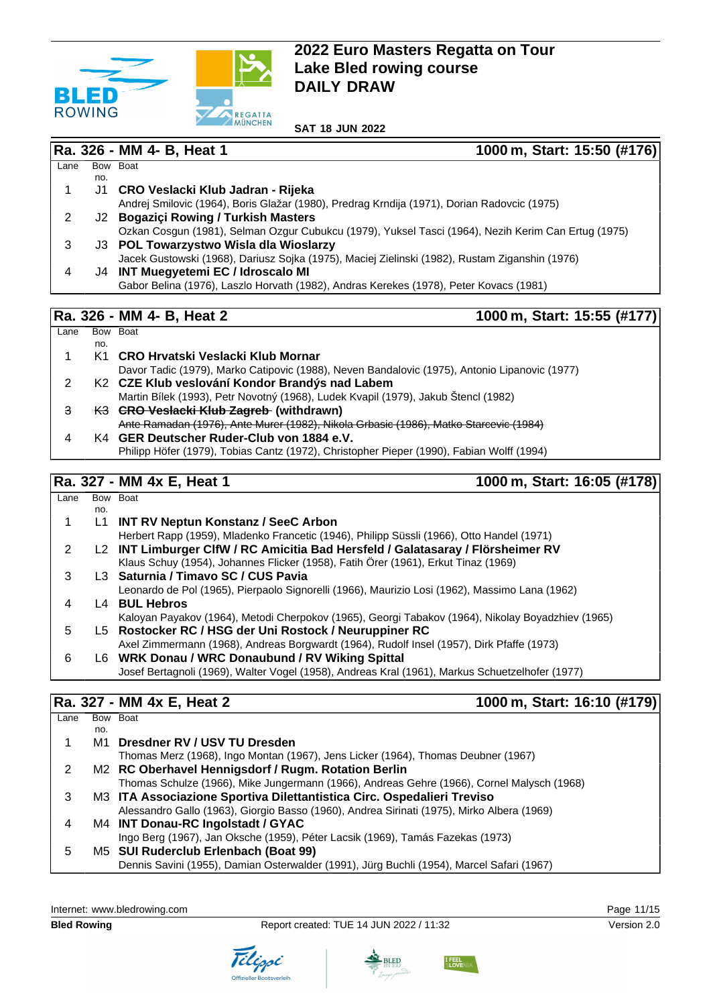

**SAT 18 JUN 2022**

|                         |     | Ra. 326 - MM 4- B, Heat 1<br>1000 m, Start: 15:50 (#176)                                                                            |
|-------------------------|-----|-------------------------------------------------------------------------------------------------------------------------------------|
| Lane                    |     | Bow Boat                                                                                                                            |
|                         | no. |                                                                                                                                     |
| 1                       | J1  | CRO Veslacki Klub Jadran - Rijeka                                                                                                   |
| $\overline{2}$          |     | Andrej Smilovic (1964), Boris Glažar (1980), Predrag Krndija (1971), Dorian Radovcic (1975)<br>J2 Bogaziçi Rowing / Turkish Masters |
|                         |     | Ozkan Cosgun (1981), Selman Ozgur Cubukcu (1979), Yuksel Tasci (1964), Nezih Kerim Can Ertug (1975)                                 |
| 3                       |     | J3 POL Towarzystwo Wisla dla Wioslarzy                                                                                              |
|                         |     | Jacek Gustowski (1968), Dariusz Sojka (1975), Maciej Zielinski (1982), Rustam Ziganshin (1976)                                      |
| 4                       |     | J4 INT Muegyetemi EC / Idroscalo MI                                                                                                 |
|                         |     | Gabor Belina (1976), Laszlo Horvath (1982), Andras Kerekes (1978), Peter Kovacs (1981)                                              |
|                         |     |                                                                                                                                     |
|                         |     | 1000 m, Start: 15:55 (#177)<br>Ra. 326 - MM 4- B, Heat 2                                                                            |
| Lane                    |     | Bow Boat                                                                                                                            |
|                         | no. |                                                                                                                                     |
| 1                       |     | K1 CRO Hrvatski Veslacki Klub Mornar                                                                                                |
|                         |     | Davor Tadic (1979), Marko Catipovic (1988), Neven Bandalovic (1975), Antonio Lipanovic (1977)                                       |
| $\overline{c}$          |     | K2 CZE Klub veslování Kondor Brandýs nad Labem                                                                                      |
|                         |     | Martin Bílek (1993), Petr Novotný (1968), Ludek Kvapil (1979), Jakub Štencl (1982)                                                  |
| 3                       |     | K3 GRO Veslacki Klub Zagreb (withdrawn)<br>Ante Ramadan (1976), Ante Murer (1982), Nikola Grbasic (1986), Matko Starcevic (1984)    |
| $\overline{\mathbf{4}}$ |     | K4 GER Deutscher Ruder-Club von 1884 e.V.                                                                                           |
|                         |     | Philipp Höfer (1979), Tobias Cantz (1972), Christopher Pieper (1990), Fabian Wolff (1994)                                           |
|                         |     |                                                                                                                                     |
|                         |     | 1000 m, Start: 16:05 (#178)<br>Ra. 327 - MM 4x E, Heat 1                                                                            |
| Lane                    |     | Bow Boat                                                                                                                            |
|                         | no. |                                                                                                                                     |
| 1                       | L1  | <b>INT RV Neptun Konstanz / SeeC Arbon</b>                                                                                          |
|                         |     | Herbert Rapp (1959), Mladenko Francetic (1946), Philipp Süssli (1966), Otto Handel (1971)                                           |
| $\overline{c}$          |     | L2 INT Limburger ClfW / RC Amicitia Bad Hersfeld / Galatasaray / Flörsheimer RV                                                     |
|                         |     | Klaus Schuy (1954), Johannes Flicker (1958), Fatih Örer (1961), Erkut Tinaz (1969)                                                  |
| 3                       |     | L3 Saturnia / Timavo SC / CUS Pavia                                                                                                 |
|                         |     | Leonardo de Pol (1965), Pierpaolo Signorelli (1966), Maurizio Losi (1962), Massimo Lana (1962)                                      |
| 4                       |     | L4 BUL Hebros                                                                                                                       |
|                         |     | Kaloyan Payakov (1964), Metodi Cherpokov (1965), Georgi Tabakov (1964), Nikolay Boyadzhiev (1965)                                   |
| 5                       |     | L5 Rostocker RC / HSG der Uni Rostock / Neuruppiner RC                                                                              |
|                         |     | Axel Zimmermann (1968), Andreas Borgwardt (1964), Rudolf Insel (1957), Dirk Pfaffe (1973)                                           |
| 6                       |     | L6 WRK Donau / WRC Donaubund / RV Wiking Spittal                                                                                    |
|                         |     | Josef Bertagnoli (1969), Walter Vogel (1958), Andreas Kral (1961), Markus Schuetzelhofer (1977)                                     |

## **Ra. 327 - MM 4x E, Heat 2 1000 m, Start: 16:10 (#179)**

| Lane |     | Bow Boat                                                                                   |
|------|-----|--------------------------------------------------------------------------------------------|
|      | no. |                                                                                            |
|      |     | M1 Dresdner RV / USV TU Dresden                                                            |
|      |     | Thomas Merz (1968), Ingo Montan (1967), Jens Licker (1964), Thomas Deubner (1967)          |
|      |     | M <sub>2</sub> RC Oberhavel Hennigsdorf / Rugm. Rotation Berlin                            |
|      |     | Thomas Schulze (1966), Mike Jungermann (1966), Andreas Gehre (1966), Cornel Malysch (1968) |
| 3    |     | M3 ITA Associazione Sportiva Dilettantistica Circ. Ospedalieri Treviso                     |
|      |     | Alessandro Gallo (1963), Giorgio Basso (1960), Andrea Sirinati (1975), Mirko Albera (1969) |
| 4    |     | M4 INT Donau-RC Ingolstadt / GYAC                                                          |
|      |     | Ingo Berg (1967), Jan Oksche (1959), Péter Lacsik (1969), Tamás Fazekas (1973)             |
| 5    |     | M5 SUI Ruderclub Erlenbach (Boat 99)                                                       |
|      |     | Dennis Savini (1955), Damian Osterwalder (1991), Jürg Buchli (1954), Marcel Safari (1967)  |

Internet: [www.bledrowing.com](http://www.bledrowing.com) example of the control of the Page 11/15







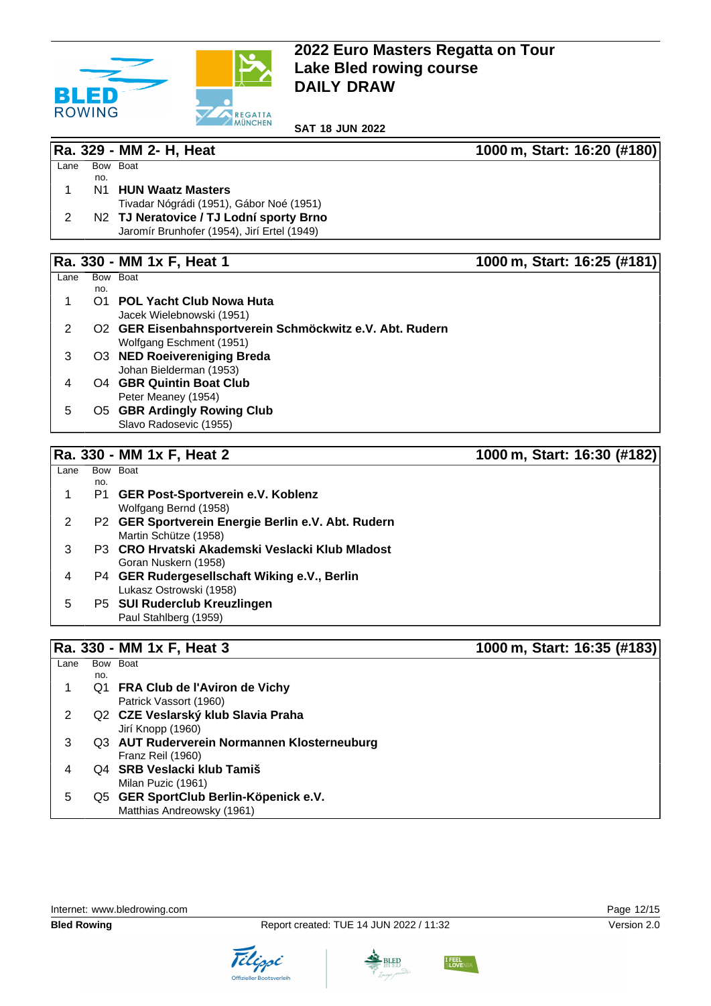

**SAT 18 JUN 2022**

**Ra. 329 - MM 2- H, Heat 1000 m, Start: 16:20 (#180)**

| Lane |     | Bow Boat                                    |  |
|------|-----|---------------------------------------------|--|
|      | no. |                                             |  |
|      |     | N1 HUN Waatz Masters                        |  |
|      |     | Tivadar Nógrádi (1951), Gábor Noé (1951)    |  |
|      |     | N2 TJ Neratovice / TJ Lodní sporty Brno     |  |
|      |     | Jaromír Brunhofer (1954), Jirí Ertel (1949) |  |

## **Ra. 330 - MM 1x F, Heat 1 1000 m, Start: 16:25 (#181)**

|      |     | <b>ו שטוו, ואו ואוויו דעטני</b>                          |
|------|-----|----------------------------------------------------------|
| Lane |     | Bow Boat                                                 |
|      | no. |                                                          |
|      |     | <b>POL Yacht Club Nowa Huta</b>                          |
|      |     | Jacek Wielebnowski (1951)                                |
|      |     | O2 GER Eisenbahnsportverein Schmöckwitz e.V. Abt. Rudern |
|      |     | Wolfgang Eschment (1951)                                 |
| 3    |     | O3 NED Roeivereniging Breda                              |
|      |     | Johan Bielderman (1953)                                  |
| 4    |     | 04 GBR Quintin Boat Club                                 |
|      |     | Peter Meaney (1954)                                      |
| 5    |     | <b>O5 GBR Ardingly Rowing Club</b>                       |
|      |     | Slavo Radosevic (1955)                                   |

# **Ra. 330 - MM 1x F, Heat 2 1000 m, Start: 16:30 (#182)**

| Lane |     | Bow Boat                                           |
|------|-----|----------------------------------------------------|
|      | no. | P1 GER Post-Sportverein e.V. Koblenz               |
|      |     | Wolfgang Bernd (1958)                              |
| 2    |     | P2 GER Sportverein Energie Berlin e.V. Abt. Rudern |
|      |     | Martin Schütze (1958)                              |
| 3    |     | P3 CRO Hrvatski Akademski Veslacki Klub Mladost    |
|      |     | Goran Nuskern (1958)                               |
| 4    |     | P4 GER Rudergesellschaft Wiking e.V., Berlin       |
|      |     | Lukasz Ostrowski (1958)                            |
| 5    |     | P5 SUI Ruderclub Kreuzlingen                       |
|      |     | Paul Stahlberg (1959)                              |

## **Ra. 330 - MM 1x F, Heat 3 1000 m, Start: 16:35 (#183)**

 $Lane$ no. Bow Boat 1 Q1 **FRA Club de l'Aviron de Vichy** Patrick Vassort (1960) 2 Q2 **CZE Veslarský klub Slavia Praha** Jirí Knopp (1960) 3 Q3 **AUT Ruderverein Normannen Klosterneuburg** Franz Reil (1960) 4 Q4 **SRB Veslacki klub Tamiš** Milan Puzic (1961) 5 Q5 **GER SportClub Berlin-Köpenick e.V.** Matthias Andreowsky (1961)





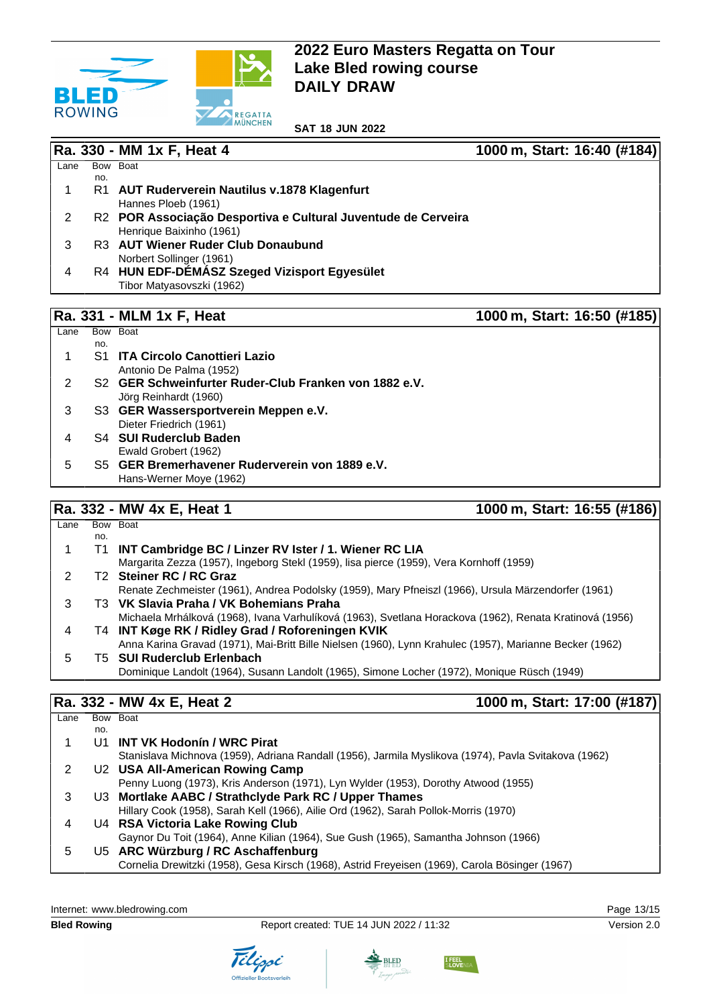

**SAT 18 JUN 2022**

|      |     | Ra. 330 - MM 1x F, Heat 4                                     | 1000 m, Start: 16:40 (#184) |  |
|------|-----|---------------------------------------------------------------|-----------------------------|--|
| Lane |     | Bow Boat                                                      |                             |  |
|      | no. |                                                               |                             |  |
|      | R1  | AUT Ruderverein Nautilus v.1878 Klagenfurt                    |                             |  |
|      |     | Hannes Ploeb (1961)                                           |                             |  |
| 2    |     | R2 POR Associação Desportiva e Cultural Juventude de Cerveira |                             |  |
|      |     | Henrique Baixinho (1961)                                      |                             |  |
| 3    |     | R3 AUT Wiener Ruder Club Donaubund                            |                             |  |
|      |     | Norbert Sollinger (1961)                                      |                             |  |
| 4    |     | R4 HUN EDF-DÉMÁSZ Szeged Vizisport Egyesület                  |                             |  |
|      |     | Tibor Matyasovszki (1962)                                     |                             |  |
|      |     |                                                               |                             |  |
|      |     | <b>Ra. 331 - MLM 1x F, Heat</b>                               | 1000 m, Start: 16:50 (#185) |  |

|     | Bow Boat                                                          |
|-----|-------------------------------------------------------------------|
| no. |                                                                   |
|     | <b>S1 ITA Circolo Canottieri Lazio</b>                            |
|     | Antonio De Palma (1952)                                           |
|     | S <sub>2</sub> GER Schweinfurter Ruder-Club Franken von 1882 e.V. |
|     | Jörg Reinhardt (1960)                                             |
|     | S3 GER Wassersportverein Meppen e.V.                              |
|     | Dieter Friedrich (1961)                                           |
|     | S4 SUI Ruderclub Baden                                            |
|     | Ewald Grobert (1962)                                              |
|     | S5 GER Bremerhavener Ruderverein von 1889 e.V.                    |
|     | Hans-Werner Moye (1962)                                           |
|     |                                                                   |

## **Ra. 332 - MW 4x E, Heat 1 1000 m, Start: 16:55 (#186)**

| Lane |     | Bow Boat                                                                                                |
|------|-----|---------------------------------------------------------------------------------------------------------|
|      | no. |                                                                                                         |
|      | Τ1  | INT Cambridge BC / Linzer RV Ister / 1. Wiener RC LIA                                                   |
|      |     | Margarita Zezza (1957), Ingeborg Stekl (1959), lisa pierce (1959), Vera Kornhoff (1959)                 |
|      |     | T <sub>2</sub> Steiner RC / RC Graz                                                                     |
|      |     | Renate Zechmeister (1961), Andrea Podolsky (1959), Mary Pfneiszl (1966), Ursula Märzendorfer (1961)     |
| 3    |     | T3 VK Slavia Praha / VK Bohemians Praha                                                                 |
|      |     | Michaela Mrhálková (1968), Ivana Varhulíková (1963), Svetlana Horackova (1962), Renata Kratinová (1956) |
| 4    |     | T4 INT Køge RK / Ridley Grad / Roforeningen KVIK                                                        |
|      |     | Anna Karina Gravad (1971), Mai-Britt Bille Nielsen (1960), Lynn Krahulec (1957), Marianne Becker (1962) |
| 5    |     | <b>T5 SUI Ruderclub Erlenbach</b>                                                                       |
|      |     | Dominique Landolt (1964), Susann Landolt (1965), Simone Locher (1972), Monique Rüsch (1949)             |

## **Ra. 332 - MW 4x E, Heat 2 1000 m, Start: 17:00 (#187)**

| Lane |     | Bow Boat                                                                                             |
|------|-----|------------------------------------------------------------------------------------------------------|
|      | no. |                                                                                                      |
|      |     | U1 INT VK Hodonín / WRC Pirat                                                                        |
|      |     | Stanislava Michnova (1959), Adriana Randall (1956), Jarmila Myslikova (1974), Pavla Svitakova (1962) |
| 2    |     | U2 USA All-American Rowing Camp                                                                      |
|      |     | Penny Luong (1973), Kris Anderson (1971), Lyn Wylder (1953), Dorothy Atwood (1955)                   |
| 3    |     | U3 Mortlake AABC / Strathclyde Park RC / Upper Thames                                                |
|      |     | Hillary Cook (1958), Sarah Kell (1966), Ailie Ord (1962), Sarah Pollok-Morris (1970)                 |
| 4    |     | U4 RSA Victoria Lake Rowing Club                                                                     |
|      |     | Gaynor Du Toit (1964), Anne Kilian (1964), Sue Gush (1965), Samantha Johnson (1966)                  |
| 5    |     | U5 ARC Würzburg / RC Aschaffenburg                                                                   |
|      |     | Cornelia Drewitzki (1958), Gesa Kirsch (1968), Astrid Freyeisen (1969), Carola Bösinger (1967)       |
|      |     |                                                                                                      |

Internet: [www.bledrowing.com](http://www.bledrowing.com) **Page 13/15** 





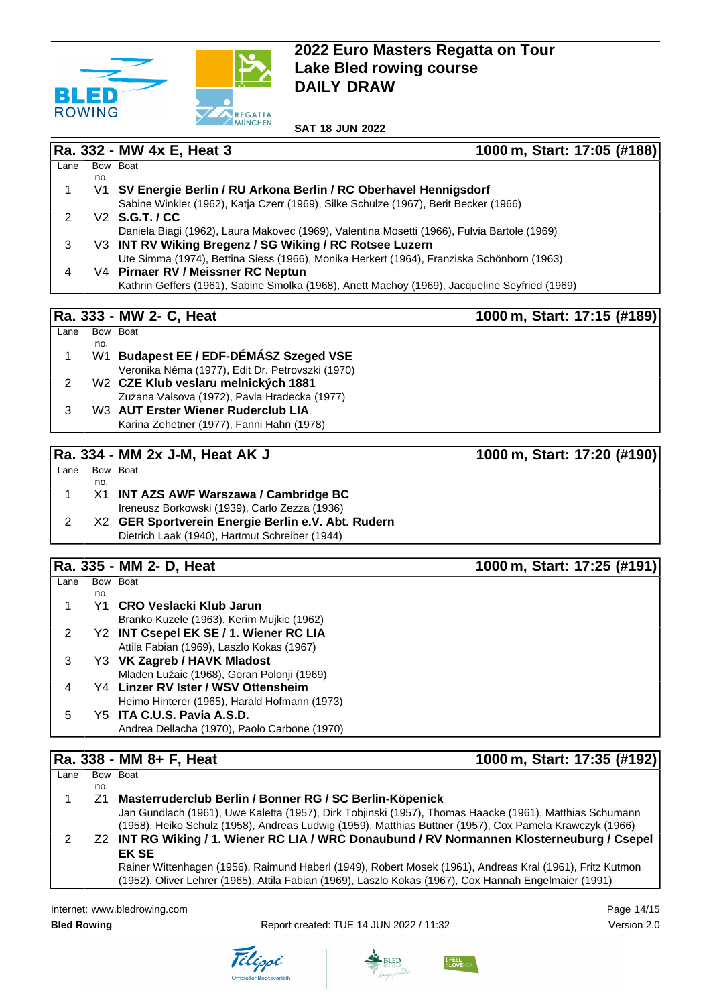

**Ra. 332 - MW 4x E, Heat 3 1000 m, Start: 17:05 (#188)**

|      |     | Ra. 333 - MW 2- C, Heat<br>1000 m, Start: 17:15 (#189                                         |
|------|-----|-----------------------------------------------------------------------------------------------|
|      |     |                                                                                               |
|      |     | Kathrin Geffers (1961), Sabine Smolka (1968), Anett Machoy (1969), Jacqueline Seyfried (1969) |
| 4    |     | V4 Pirnaer RV / Meissner RC Neptun                                                            |
|      |     | Ute Simma (1974), Bettina Siess (1966), Monika Herkert (1964), Franziska Schönborn (1963)     |
| 3    |     | V3 INT RV Wiking Bregenz / SG Wiking / RC Rotsee Luzern                                       |
|      |     | Daniela Biagi (1962), Laura Makovec (1969), Valentina Mosetti (1966), Fulvia Bartole (1969)   |
|      |     | V2 S.G.T. / CC                                                                                |
|      |     | Sabine Winkler (1962), Katja Czerr (1969), Silke Schulze (1967), Berit Becker (1966)          |
|      |     | V1 SV Energie Berlin / RU Arkona Berlin / RC Oberhavel Hennigsdorf                            |
|      | no. |                                                                                               |
| Lane |     | Bow Boat                                                                                      |

| Lane | Bow Boat |                                                  |
|------|----------|--------------------------------------------------|
|      | no.      |                                                  |
|      |          | W1 Budapest EE / EDF-DÉMÁSZ Szeged VSE           |
|      |          | Veronika Néma (1977), Edit Dr. Petrovszki (1970) |
|      |          | W <sub>2</sub> CZE Klub veslaru melnických 1881  |
|      |          | Zuzana Valsova (1972), Pavla Hradecka (1977)     |
|      |          | W3 AUT Erster Wiener Ruderclub LIA               |
|      |          | Karina Zehetner (1977), Fanni Hahn (1978)        |
|      |          |                                                  |

### **Ra. 334 - MM 2x J-M, Heat AK J 1000 m, Start: 17:20 (#190)**

#### Lane Bow Boat no.

| X1 | <b>INT AZS AWF Warszawa / Cambridge BC</b>         |
|----|----------------------------------------------------|
|    | Ireneusz Borkowski (1939), Carlo Zezza (1936)      |
|    | X2 GER Sportverein Energie Berlin e.V. Abt. Rudern |
|    | Dietrich Laak (1940), Hartmut Schreiber (1944)     |

# **Ra. 335 - MM 2- D, Heat 1000 m, Start: 17:25 (#191)**

|      |     | וועם - ביוועו די פטר. האו                    | $1000$ $111, 01011$ . $11.20$ $17.31$ |
|------|-----|----------------------------------------------|---------------------------------------|
| Lane |     | Bow Boat                                     |                                       |
|      | no. |                                              |                                       |
|      | Y1  | CRO Veslacki Klub Jarun                      |                                       |
|      |     | Branko Kuzele (1963), Kerim Mujkic (1962)    |                                       |
|      |     | Y2 INT Csepel EK SE / 1. Wiener RC LIA       |                                       |
|      |     | Attila Fabian (1969), Laszlo Kokas (1967)    |                                       |
|      |     | Y3 VK Zagreb / HAVK Mladost                  |                                       |
|      |     | Mladen Lužaic (1968), Goran Polonji (1969)   |                                       |
|      |     | Y4 Linzer RV Ister / WSV Ottensheim          |                                       |
|      |     | Heimo Hinterer (1965), Harald Hofmann (1973) |                                       |
| 5    |     | Y5 ITA C.U.S. Pavia A.S.D.                   |                                       |
|      |     | Andrea Dellacha (1970), Paolo Carbone (1970) |                                       |

### **Ra. 338 - MM 8+ F, Heat 1000 m, Start: 17:35 (#192)**

| Lane |     | Bow Boat                                                                                                 |
|------|-----|----------------------------------------------------------------------------------------------------------|
|      | no. |                                                                                                          |
|      | Z1  | Masterruderclub Berlin / Bonner RG / SC Berlin-Köpenick                                                  |
|      |     | Jan Gundlach (1961), Uwe Kaletta (1957), Dirk Tobjinski (1957), Thomas Haacke (1961), Matthias Schumann  |
|      |     | (1958), Heiko Schulz (1958), Andreas Ludwig (1959), Matthias Büttner (1957), Cox Pamela Krawczyk (1966)  |
|      |     | Z2 INT RG Wiking / 1. Wiener RC LIA / WRC Donaubund / RV Normannen Klosterneuburg / Csepel               |
|      |     | <b>EK SE</b>                                                                                             |
|      |     | Rainer Wittenhagen (1956), Raimund Haberl (1949), Robert Mosek (1961), Andreas Kral (1961), Fritz Kutmon |
|      |     | (1952), Oliver Lehrer (1965), Attila Fabian (1969), Laszlo Kokas (1967), Cox Hannah Engelmaier (1991)    |
|      |     |                                                                                                          |

Internet: [www.bledrowing.com](http://www.bledrowing.com) **Page 14/15**